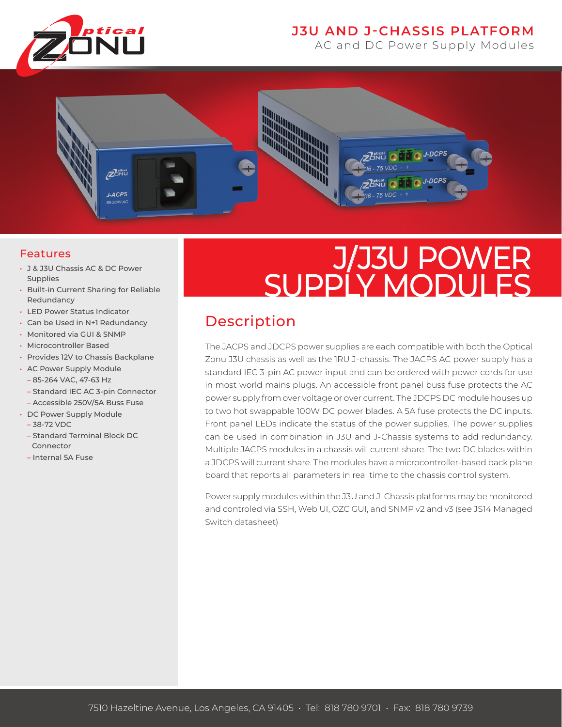

### **J3U AND J-CHASSIS PLATFORM**

AC and DC Power Supply Modules



#### Features

- J & J3U Chassis AC & DC Power Supplies
- Built-in Current Sharing for Reliable Redundancy
- LED Power Status Indicator
- Can be Used in N+1 Redundancy
- Monitored via GUI & SNMP
- Microcontroller Based
- Provides 12V to Chassis Backplane
- AC Power Supply Module
	- 85-264 VAC, 47-63 Hz
	- Standard IEC AC 3-pin Connector
	- Accessible 250V/5A Buss Fuse
- DC Power Supply Module
	- 38-72 VDC
	- Standard Terminal Block DC Connector
	- Internal 5A Fuse

# J/J3U POWER SUPPLY MODULES

## Description

The JACPS and JDCPS power supplies are each compatible with both the Optical Zonu J3U chassis as well as the 1RU J-chassis. The JACPS AC power supply has a standard IEC 3-pin AC power input and can be ordered with power cords for use in most world mains plugs. An accessible front panel buss fuse protects the AC power supply from over voltage or over current. The JDCPS DC module houses up to two hot swappable 100W DC power blades. A 5A fuse protects the DC inputs. Front panel LEDs indicate the status of the power supplies. The power supplies can be used in combination in J3U and J-Chassis systems to add redundancy. Multiple JACPS modules in a chassis will current share. The two DC blades within a JDCPS will current share. The modules have a microcontroller-based back plane board that reports all parameters in real time to the chassis control system.

Power supply modules within the J3U and J-Chassis platforms may be monitored and controled via SSH, Web UI, OZC GUI, and SNMP v2 and v3 (see JS14 Managed Switch datasheet)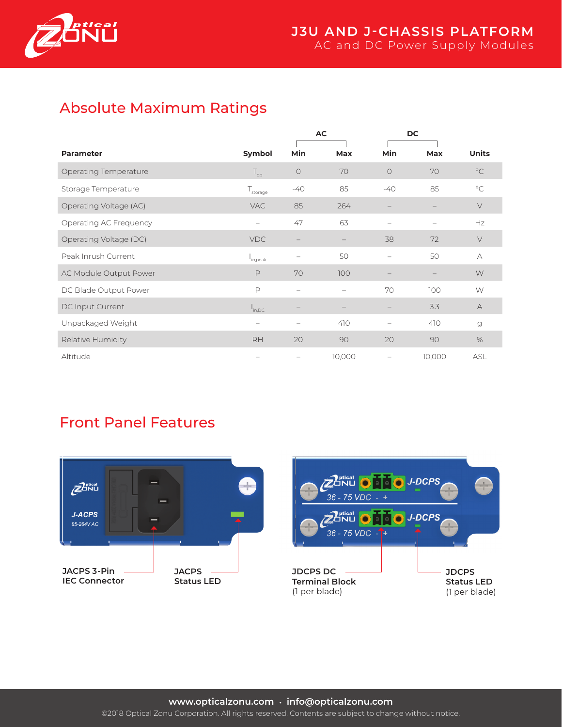

# Absolute Maximum Ratings

|                        |                                | AC                       |        | <b>DC</b>         |            |               |
|------------------------|--------------------------------|--------------------------|--------|-------------------|------------|---------------|
| <b>Parameter</b>       | Symbol                         | Min                      | Max    | Min               | <b>Max</b> | <b>Units</b>  |
| Operating Temperature  | $\mathsf{T}_{\mathsf{op}}$     | $\circ$                  | 70     | $\Omega$          | 70         | $^{\circ}$ C  |
| Storage Temperature    | ${\mathsf T}_{\text{storage}}$ | $-40$                    | 85     | $-40$             | 85         | $^{\circ}$ C  |
| Operating Voltage (AC) | <b>VAC</b>                     | 85                       | 264    |                   |            | $\vee$        |
| Operating AC Frequency | $\qquad \qquad -$              | 47                       | 63     |                   |            | Hz            |
| Operating Voltage (DC) | <b>VDC</b>                     |                          |        | 38                | 72         | $\vee$        |
| Peak Inrush Current    | I <sub>in,peak</sub>           | $\overline{\phantom{0}}$ | 50     | $\qquad \qquad -$ | 50         | $\forall$     |
| AC Module Output Power | $\mathsf{P}$                   | 70                       | 100    |                   |            | W             |
| DC Blade Output Power  | $\mathsf{P}$                   |                          |        | 70                | 100        | W             |
| DC Input Current       | $I_{\text{in,DC}}$             |                          |        |                   | 3.3        | А             |
| Unpackaged Weight      | $\qquad \qquad -$              | $\overline{\phantom{0}}$ | 410    |                   | 410        | $\mathcal{G}$ |
| Relative Humidity      | <b>RH</b>                      | 20                       | 90     | 20                | 90         | %             |
| Altitude               | $\overline{\phantom{0}}$       | $\overline{\phantom{m}}$ | 10,000 |                   | 10,000     | ASL           |

## Front Panel Features



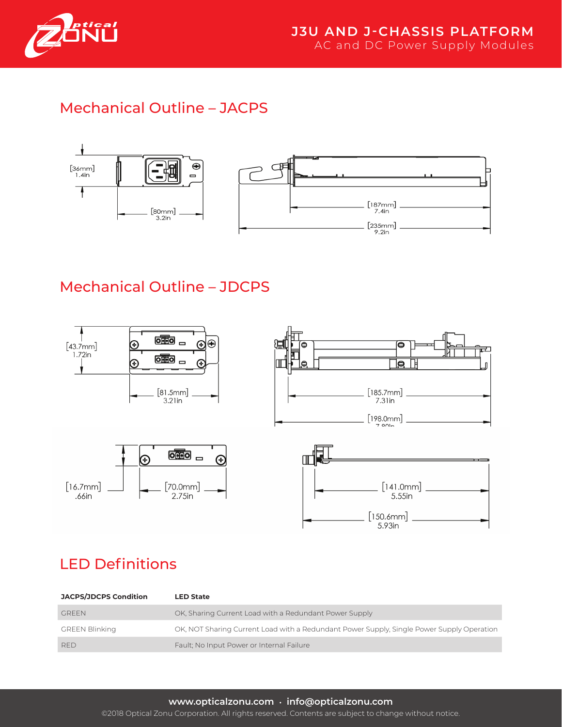

# Mechanical Outline – JACPS



# Mechanical Outline – JDCPS



# LED Definitions

| <b>JACPS/JDCPS Condition</b> | <b>LED State</b>                                                                          |
|------------------------------|-------------------------------------------------------------------------------------------|
| <b>GREEN</b>                 | OK, Sharing Current Load with a Redundant Power Supply                                    |
| <b>GREEN Blinking</b>        | OK, NOT Sharing Current Load with a Redundant Power Supply, Single Power Supply Operation |
| <b>RED</b>                   | Fault; No Input Power or Internal Failure                                                 |

#### **www.opticalzonu.com • info@opticalzonu.com**

©2018 Optical Zonu Corporation. All rights reserved. Contents are subject to change without notice.